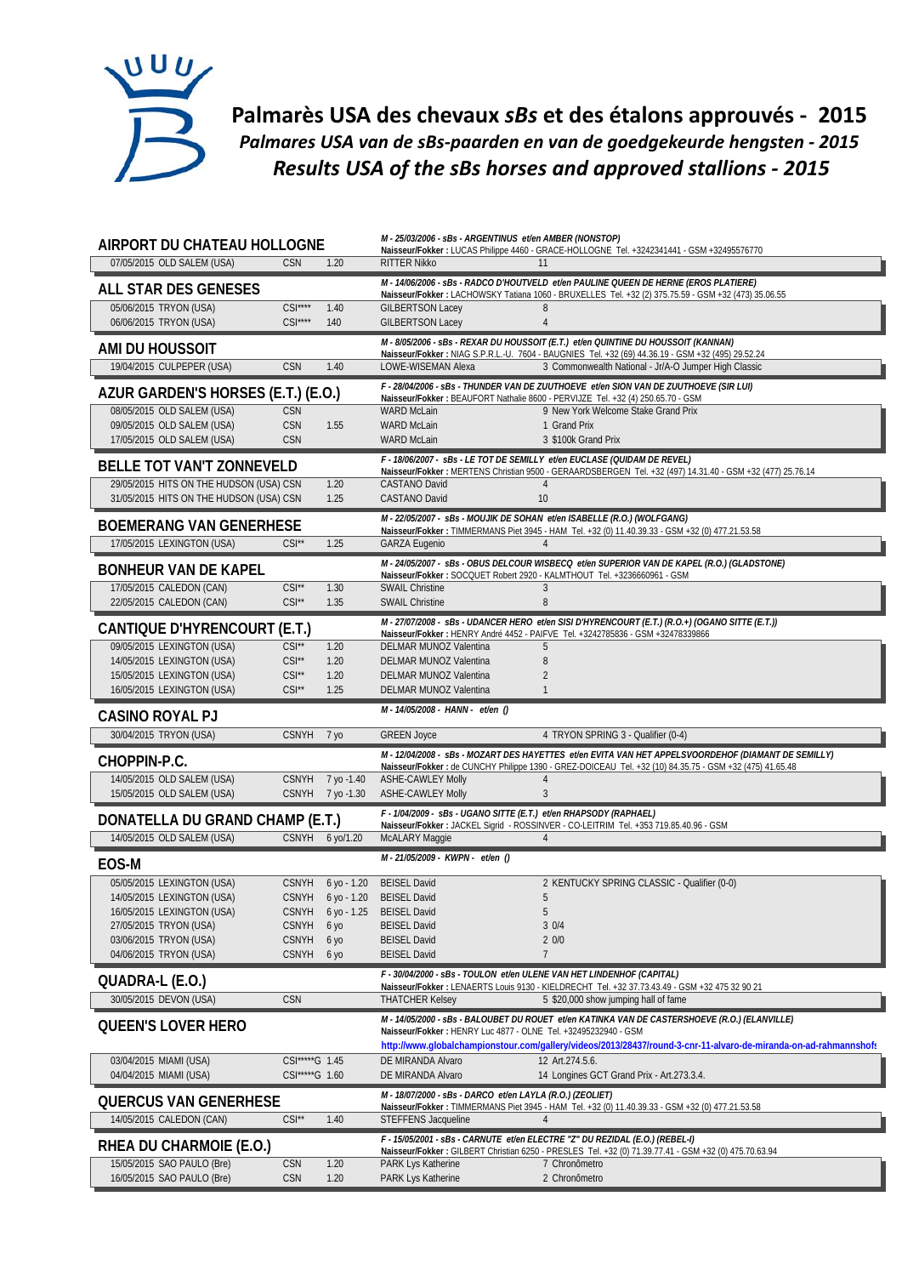

**Palmarès USA des chevaux** *sBs* **et des étalons approuvés ‐ 2015** *Palmares USA van de sBs‐paarden en van de goedgekeurde hengsten ‐ 2015 Results USA of the sBs horses and approved stallions ‐ 2015*

| AIRPORT DU CHATEAU HOLLOGNE                                                        |                                          |                   | M - 25/03/2006 - sBs - ARGENTINUS et/en AMBER (NONSTOP)<br>Naisseur/Fokker: LUCAS Philippe 4460 - GRACE-HOLLOGNE Tel. +3242341441 - GSM +32495576770 |                                                                                                                                                                                                                |  |
|------------------------------------------------------------------------------------|------------------------------------------|-------------------|------------------------------------------------------------------------------------------------------------------------------------------------------|----------------------------------------------------------------------------------------------------------------------------------------------------------------------------------------------------------------|--|
| 07/05/2015 OLD SALEM (USA)                                                         | <b>CSN</b>                               | 1.20              | <b>RITTER Nikko</b>                                                                                                                                  | 11                                                                                                                                                                                                             |  |
| ALL STAR DES GENESES                                                               |                                          |                   |                                                                                                                                                      | M - 14/06/2006 - sBs - RADCO D'HOUTVELD et/en PAULINE QUEEN DE HERNE (EROS PLATIERE)<br>Naisseur/Fokker: LACHOWSKY Tatiana 1060 - BRUXELLES Tel. +32 (2) 375.75.59 - GSM +32 (473) 35.06.55                    |  |
| 05/06/2015 TRYON (USA)                                                             | $CSI***$                                 | 1.40              | <b>GILBERTSON Lacey</b>                                                                                                                              | 8                                                                                                                                                                                                              |  |
| 06/06/2015 TRYON (USA)                                                             | $CSI***$                                 | 140               | <b>GILBERTSON Lacey</b>                                                                                                                              | $\overline{4}$                                                                                                                                                                                                 |  |
| AMI DU HOUSSOIT                                                                    |                                          |                   |                                                                                                                                                      | M - 8/05/2006 - sBs - REXAR DU HOUSSOIT (E.T.) et/en QUINTINE DU HOUSSOIT (KANNAN)<br>Naisseur/Fokker: NIAG S.P.R.L.-U. 7604 - BAUGNIES Tel. +32 (69) 44.36.19 - GSM +32 (495) 29.52.24                        |  |
| 19/04/2015 CULPEPER (USA)                                                          | CSN                                      | 1.40              | LOWE-WISEMAN Alexa                                                                                                                                   | 3 Commonwealth National - Jr/A-O Jumper High Classic                                                                                                                                                           |  |
| AZUR GARDEN'S HORSES (E.T.) (E.O.)                                                 |                                          |                   |                                                                                                                                                      | F - 28/04/2006 - sBs - THUNDER VAN DE ZUUTHOEVE et/en SION VAN DE ZUUTHOEVE (SIR LUI)                                                                                                                          |  |
| 08/05/2015 OLD SALEM (USA)                                                         | CSN                                      |                   | <b>WARD McLain</b>                                                                                                                                   | Naisseur/Fokker: BEAUFORT Nathalie 8600 - PERVIJZE Tel. +32 (4) 250.65.70 - GSM<br>9 New York Welcome Stake Grand Prix                                                                                         |  |
| 09/05/2015 OLD SALEM (USA)                                                         | CSN                                      | 1.55              | <b>WARD McLain</b>                                                                                                                                   | 1 Grand Prix                                                                                                                                                                                                   |  |
| 17/05/2015 OLD SALEM (USA)                                                         | CSN                                      |                   | <b>WARD McLain</b>                                                                                                                                   | 3 \$100k Grand Prix                                                                                                                                                                                            |  |
| <b>BELLE TOT VAN'T ZONNEVELD</b>                                                   |                                          |                   |                                                                                                                                                      | F - 18/06/2007 - sBs - LE TOT DE SEMILLY et/en EUCLASE (QUIDAM DE REVEL)<br>Naisseur/Fokker: MERTENS Christian 9500 - GERAARDSBERGEN Tel. +32 (497) 14.31.40 - GSM +32 (477) 25.76.14                          |  |
| 29/05/2015 HITS ON THE HUDSON (USA) CSN<br>31/05/2015 HITS ON THE HUDSON (USA) CSN |                                          | 1.20<br>1.25      | CASTANO David<br>CASTANO David                                                                                                                       | $\overline{4}$<br>10                                                                                                                                                                                           |  |
|                                                                                    |                                          |                   |                                                                                                                                                      | M - 22/05/2007 - sBs - MOUJIK DE SOHAN et/en ISABELLE (R.O.) (WOLFGANG)                                                                                                                                        |  |
| <b>BOEMERANG VAN GENERHESE</b>                                                     |                                          |                   |                                                                                                                                                      | Naisseur/Fokker: TIMMERMANS Piet 3945 - HAM Tel. +32 (0) 11.40.39.33 - GSM +32 (0) 477.21.53.58                                                                                                                |  |
| 17/05/2015 LEXINGTON (USA)                                                         | $CSI^{\star\star}$                       | 1.25              | <b>GARZA Eugenio</b>                                                                                                                                 | $\overline{4}$                                                                                                                                                                                                 |  |
| <b>BONHEUR VAN DE KAPEL</b>                                                        |                                          |                   |                                                                                                                                                      | M-24/05/2007 - sBs - OBUS DELCOUR WISBECO et/en SUPERIOR VAN DE KAPEL (R.O.) (GLADSTONE)<br>Naisseur/Fokker: SOCQUET Robert 2920 - KALMTHOUT Tel. +3236660961 - GSM                                            |  |
| 17/05/2015 CALEDON (CAN)                                                           | $CSI^{\star\star}$                       | 1.30              | <b>SWAIL Christine</b>                                                                                                                               | 3                                                                                                                                                                                                              |  |
| 22/05/2015 CALEDON (CAN)                                                           | $CSI^{\star\star}$                       | 1.35              | <b>SWAIL Christine</b>                                                                                                                               | 8                                                                                                                                                                                                              |  |
| CANTIQUE D'HYRENCOURT (E.T.)                                                       |                                          |                   |                                                                                                                                                      | M-27/07/2008 - sBs - UDANCER HERO et/en SISI D'HYRENCOURT (E.T.) (R.O.+) (OGANO SITTE (E.T.))<br>Naisseur/Fokker: HENRY André 4452 - PAIFVE Tel. +3242785836 - GSM +32478339866                                |  |
| 09/05/2015 LEXINGTON (USA)                                                         | $CSI^{\star\star}$                       | 1.20              | DELMAR MUNOZ Valentina                                                                                                                               | 5                                                                                                                                                                                                              |  |
| 14/05/2015 LEXINGTON (USA)<br>15/05/2015 LEXINGTON (USA)                           | $CSI^{\star\star}$<br>$CSI^{\star\star}$ | 1.20<br>1.20      | DELMAR MUNOZ Valentina<br>DELMAR MUNOZ Valentina                                                                                                     | 8<br>$\overline{2}$                                                                                                                                                                                            |  |
| 16/05/2015 LEXINGTON (USA)                                                         | $CSI^{\star\star}$                       | 1.25              | DELMAR MUNOZ Valentina                                                                                                                               | $\mathbf{1}$                                                                                                                                                                                                   |  |
| <b>CASINO ROYAL PJ</b>                                                             |                                          |                   | M - 14/05/2008 - HANN - et/en ()                                                                                                                     |                                                                                                                                                                                                                |  |
| 30/04/2015 TRYON (USA)                                                             | <b>CSNYH</b>                             | 7 уо              | <b>GREEN Joyce</b>                                                                                                                                   | 4 TRYON SPRING 3 - Qualifier (0-4)                                                                                                                                                                             |  |
| CHOPPIN-P.C.                                                                       |                                          |                   |                                                                                                                                                      | M - 12/04/2008 - SBS - MOZART DES HAYETTES et/en EVITA VAN HET APPELSVOORDEHOF (DIAMANT DE SEMILLY)<br>Naisseur/Fokker: de CUNCHY Philippe 1390 - GREZ-DOICEAU Tel. +32 (10) 84.35.75 - GSM +32 (475) 41.65.48 |  |
| 14/05/2015 OLD SALEM (USA)                                                         | <b>CSNYH</b>                             | 7 yo -1.40        | ASHE-CAWLEY Molly                                                                                                                                    | $\overline{4}$                                                                                                                                                                                                 |  |
| 15/05/2015 OLD SALEM (USA)                                                         |                                          | CSNYH 7 yo -1.30  | <b>ASHE-CAWLEY Molly</b>                                                                                                                             | $\mathfrak{Z}$                                                                                                                                                                                                 |  |
| DONATELLA DU GRAND CHAMP (E.T.)                                                    |                                          |                   | F - 1/04/2009 - sBs - UGANO SITTE (E.T.) et/en RHAPSODY (RAPHAEL)                                                                                    | Naisseur/Fokker: JACKEL Sigrid - ROSSINVER - CO-LEITRIM Tel. +353 719.85.40.96 - GSM                                                                                                                           |  |
| 14/05/2015 OLD SALEM (USA)                                                         | <b>CSNYH</b>                             | 6 yo/1.20         | McALARY Maggie                                                                                                                                       | $\overline{4}$                                                                                                                                                                                                 |  |
| EOS-M                                                                              |                                          |                   |                                                                                                                                                      |                                                                                                                                                                                                                |  |
|                                                                                    |                                          |                   | M-21/05/2009 - KWPN - et/en 0                                                                                                                        |                                                                                                                                                                                                                |  |
| 05/05/2015 LEXINGTON (USA)                                                         |                                          | CSNYH 6 yo - 1.20 | <b>BEISEL David</b>                                                                                                                                  | 2 KENTUCKY SPRING CLASSIC - Qualifier (0-0)                                                                                                                                                                    |  |
| 14/05/2015 LEXINGTON (USA)                                                         |                                          | CSNYH 6 yo - 1.20 | <b>BEISEL David</b>                                                                                                                                  | 5                                                                                                                                                                                                              |  |
| 16/05/2015 LEXINGTON (USA)                                                         | CSNYH                                    | 6 yo - 1.25       | <b>BEISEL David</b>                                                                                                                                  | 5                                                                                                                                                                                                              |  |
| 27/05/2015 TRYON (USA)                                                             | <b>CSNYH</b><br><b>CSNYH</b>             | 6 yo              | <b>BEISEL David</b>                                                                                                                                  | 30/4                                                                                                                                                                                                           |  |
| 03/06/2015 TRYON (USA)<br>04/06/2015 TRYON (USA)                                   | <b>CSNYH</b>                             | 6 yo<br>6 уо      | <b>BEISEL David</b><br><b>BEISEL David</b>                                                                                                           | 20/0<br>$\overline{7}$                                                                                                                                                                                         |  |
|                                                                                    |                                          |                   |                                                                                                                                                      | F - 30/04/2000 - sBs - TOULON et/en ULENE VAN HET LINDENHOF (CAPITAL)                                                                                                                                          |  |
| QUADRA-L (E.O.)                                                                    | <b>CSN</b>                               |                   |                                                                                                                                                      | Naisseur/Fokker: LENAERTS Louis 9130 - KIELDRECHT Tel. +32 37.73.43.49 - GSM +32 475 32 90 21<br>5 \$20,000 show jumping hall of fame                                                                          |  |
| 30/05/2015 DEVON (USA)                                                             |                                          |                   | <b>THATCHER Kelsey</b>                                                                                                                               | M - 14/05/2000 - sBs - BALOUBET DU ROUET et/en KATINKA VAN DE CASTERSHOEVE (R.O.) (ELANVILLE)                                                                                                                  |  |
| <b>QUEEN'S LOVER HERO</b>                                                          |                                          |                   | Naisseur/Fokker: HENRY Luc 4877 - OLNE Tel. +32495232940 - GSM                                                                                       |                                                                                                                                                                                                                |  |
|                                                                                    |                                          |                   |                                                                                                                                                      | http://www.globalchampionstour.com/gallery/videos/2013/28437/round-3-cnr-11-alvaro-de-miranda-on-ad-rahmannshofs                                                                                               |  |
| 03/04/2015 MIAMI (USA)<br>04/04/2015 MIAMI (USA)                                   | CSI*****G 1.45<br>CSI*****G 1.60         |                   | DE MIRANDA Alvaro<br>DE MIRANDA Alvaro                                                                                                               | 12 Art.274.5.6.<br>14 Longines GCT Grand Prix - Art.273.3.4.                                                                                                                                                   |  |
|                                                                                    |                                          |                   | M - 18/07/2000 - sBs - DARCO et/en LAYLA (R.O.) (ZEOLIET)                                                                                            |                                                                                                                                                                                                                |  |
| <b>QUERCUS VAN GENERHESE</b>                                                       |                                          |                   |                                                                                                                                                      | Naisseur/Fokker: TIMMERMANS Piet 3945 - HAM Tel. +32 (0) 11.40.39.33 - GSM +32 (0) 477.21.53.58                                                                                                                |  |
| 14/05/2015 CALEDON (CAN)                                                           | $CSI**$                                  | 1.40              | STEFFENS Jacqueline                                                                                                                                  | $\overline{4}$                                                                                                                                                                                                 |  |
| RHEA DU CHARMOIE (E.O.)<br>15/05/2015 SAO PAULO (Bre)                              | CSN                                      | 1.20              | PARK Lys Katherine                                                                                                                                   | F - 15/05/2001 - sBs - CARNUTE et/en ELECTRE "Z" DU REZIDAL (E.O.) (REBEL-I)<br>Naisseur/Fokker: GILBERT Christian 6250 - PRESLES Tel. +32 (0) 71.39.77.41 - GSM +32 (0) 475.70.63.94<br>7 Chronômetro         |  |